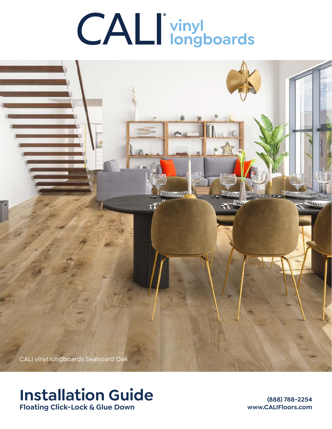# **CALI** vinyl<br> **I** longboards



# **Installation Guide Floating Click-Lock & Glue Down**

**(888) 788-2254 www.CALIFloors.com**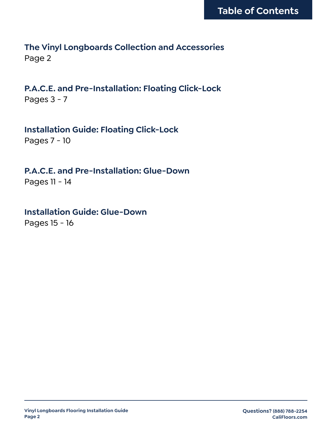# **The Vinyl Longboards Collection and Accessories** Page 2

**P.A.C.E. and Pre-Installation: Floating Click-Lock** Pages 3 - 7

**Installation Guide: Floating Click-Lock** Pages 7 - 10

**P.A.C.E. and Pre-Installation: Glue-Down**

Pages 11 - 14

**Installation Guide: Glue-Down** Pages 15 - 16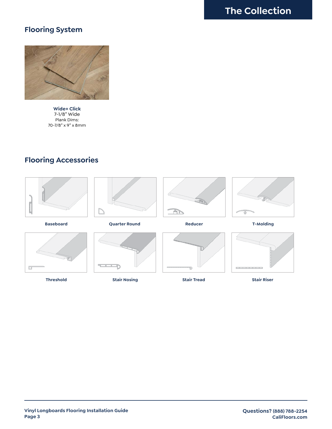# **Flooring System**



**Wide+ Click** 7-1/8" Wide Plank Dims: 70-7/8" x 9" x 8mm

# **Flooring Accessories**





**Stair Nosing**

**Stair Tread**

**Vinyl Longboards Flooring Installation Guide Page 3**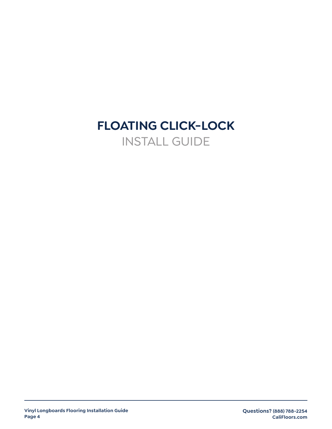# **FLOATING CLICK-LOCK** INSTALL GUIDE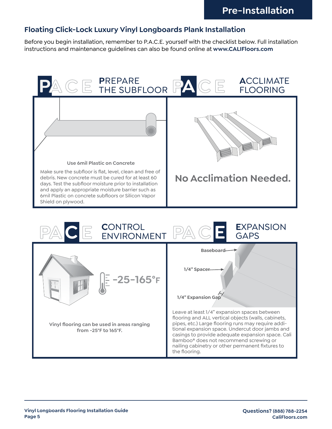# **Floating Click-Lock Luxury Vinyl Longboards Plank Installation**

Before you begin installation, remember to P.A.C.E. yourself with the checklist below. Full installation instructions and maintenance guidelines can also be found online at www**.CALIFloors.com** 

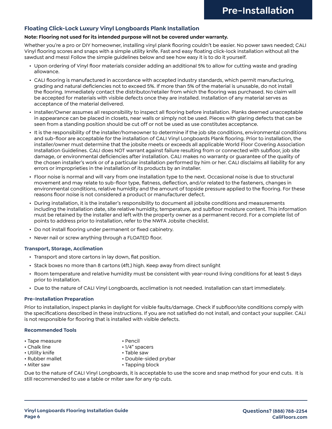### **Floating Click-Lock Luxury Vinyl Longboards Plank Installation**

### **Note: Flooring not used for its intended purpose will not be covered under warranty.**

Whether you're a pro or DIY homeowner, installing vinyl plank flooring couldn't be easier. No power saws needed; CALI Vinyl flooring scores and snaps with a simple utility knife. Fast and easy floating click-lock installation without all the sawdust and mess! Follow the simple guidelines below and see how easy it is to do it yourself.

- Upon ordering of Vinyl floor materials consider adding an additional 5% to allow for cutting waste and grading allowance.
- CALI flooring is manufactured in accordance with accepted industry standards, which permit manufacturing, grading and natural deficiencies not to exceed 5%. If more than 5% of the material is unusable, do not install the flooring. Immediately contact the distributor/retailer from which the flooring was purchased. No claim will be accepted for materials with visible defects once they are installed. Installation of any material serves as acceptance of the material delivered.
- Installer/Owner assumes all responsibility to inspect all flooring before installation. Planks deemed unacceptable in appearance can be placed in closets, near walls or simply not be used. Pieces with glaring defects that can be seen from a standing position should be cut off or not be used as use constitutes acceptance.
- It is the responsibility of the installer/homeowner to determine if the job site conditions, environmental conditions and sub-floor are acceptable for the installation of CALI Vinyl Longboards Plank flooring. Prior to installation, the installer/owner must determine that the jobsite meets or exceeds all applicable World Floor Covering Association Installation Guidelines. CALI does NOT warrant against failure resulting from or connected with subfloor, job site damage, or environmental deficiencies after installation. CALI makes no warranty or guarantee of the quality of the chosen installer's work or of a particular installation performed by him or her. CALI disclaims all liability for any errors or improprieties in the installation of its products by an installer.
- Floor noise is normal and will vary from one installation type to the next. Occasional noise is due to structural movement and may relate to sub-floor type, flatness, deflection, and/or related to the fasteners, changes in environmental conditions, relative humidity and the amount of topside pressure applied to the flooring. For these reasons floor noise is not considered a product or manufacturer defect.
- During installation, it is the installer's responsibility to document all jobsite conditions and measurements including the installation date, site relative humidity, temperature, and subfloor moisture content. This information must be retained by the installer and left with the property owner as a permanent record. For a complete list of points to address prior to installation, refer to the NWFA Jobsite checklist.
- Do not install flooring under permanent or fixed cabinetry.
- Never nail or screw anything through a FLOATED floor.

### **Transport, Storage, Acclimation**

- Transport and store cartons in lay down, flat position.
- Stack boxes no more than 8 cartons (4ft.) high. Keep away from direct sunlight
- Room temperature and relative humidity must be consistent with year-round living conditions for at least 5 days prior to installation.
- Due to the nature of CALI Vinyl Longboards, acclimation is not needed. Installation can start immediately.

### **Pre-Installation Preparation**

Prior to installation, inspect planks in daylight for visible faults/damage. Check if subfloor/site conditions comply with the specifications described in these instructions. If you are not satisfied do not install, and contact your supplier. CALI is not responsible for flooring that is installed with visible defects.

### **Recommended Tools**

- Tape measure Pencil
- 
- Utility knife Table saw
- 
- 
- 
- Chalk line 1/4" spacers
	-
- Rubber mallet Double-sided prybar
- Miter saw  **Tapping block**

Due to the nature of CALI Vinyl Longboards, it is acceptable to use the score and snap method for your end cuts. It is still recommended to use a table or miter saw for any rip cuts.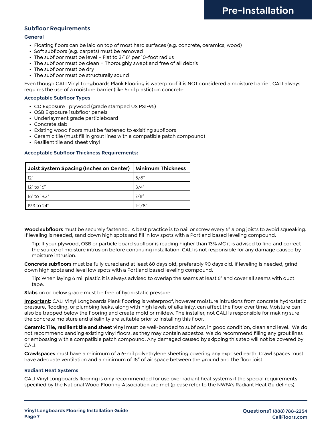### **Subfloor Requirements**

### **General**

- Floating floors can be laid on top of most hard surfaces (e.g. concrete, ceramics, wood)
- Soft subfloors (e.g. carpets) must be removed
- The subfloor must be level Flat to 3/16" per 10-foot radius
- The subfloor must be clean = Thoroughly swept and free of all debris
- The subfloor must be dry
- The subfloor must be structurally sound

Even though CALI Vinyl Longboards Plank Flooring is waterproof it is NOT considered a moisture barrier. CALI always requires the use of a moisture barrier (like 6mil plastic) on concrete.

### **Acceptable Subfloor Types**

- CD Exposure 1 plywood (grade stamped US PS1-95)
- OSB Exposure 1subfloor panels
- Underlayment grade particleboard
- Concrete slab
- Existing wood floors must be fastened to exisiting subfloors
- Ceramic tile (must fill in grout lines with a compatible patch compound)
- Resilient tile and sheet vinyl

### **Acceptable Subfloor Thickness Requirements:**

| Joist System Spacing (Inches on Center)   Minimum Thickness |            |
|-------------------------------------------------------------|------------|
| 12"                                                         | 5/8"       |
| 12" to 16"                                                  | 3/4"       |
| 16" to 19.2"                                                | 7/8"       |
| 19.3 to 24"                                                 | $1 - 1/8"$ |

**Wood subfloors** must be securely fastened. A best practice is to nail or screw every 6" along joists to avoid squeaking. If leveling is needed, sand down high spots and fill in low spots with a Portland based leveling compound.

Tip: If your plywood, OSB or particle board subfloor is reading higher than 13% MC it is advised to find and correct the source of moisture intrusion before continuing installation. CALI is not responsible for any damage caused by moisture intrusion.

**Concrete subfloors** must be fully cured and at least 60 days old, preferably 90 days old. If leveling is needed, grind down high spots and level low spots with a Portland based leveling compound.

Tip: When laying 6 mil plastic it is always advised to overlap the seams at least 6" and cover all seams with duct tape.

**Slabs** on or below grade must be free of hydrostatic pressure.

**Important:** CALI Vinyl Longboards Plank flooring is waterproof, however moisture intrusions from concrete hydrostatic pressure, flooding, or plumbing leaks, along with high levels of alkalinity, can affect the floor over time. Moisture can also be trapped below the flooring and create mold or mildew. The installer, not CALI is responsible for making sure the concrete moisture and alkalinity are suitable prior to installing this floor.

**Ceramic Tile, resilient tile and sheet vinyl** must be well-bonded to subfloor, in good condition, clean and level. We do not recommend sanding existing vinyl floors, as they may contain asbestos. We do recommend filling any grout lines or embossing with a compatible patch compound. Any damaged caused by skipping this step will not be covered by CALI.

**Crawlspaces** must have a minimum of a 6-mil polyethylene sheeting covering any exposed earth. Crawl spaces must have adequate ventilation and a minimum of 18" of air space between the ground and the floor joist.

### **Radiant Heat Systems**

CALI Vinyl Longboards flooring is only recommended for use over radiant heat systems if the special requirements specified by the National Wood Flooring Association are met (please refer to the NWFA's Radiant Heat Guidelines).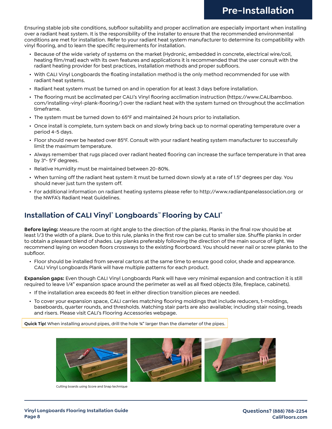Ensuring stable job site conditions, subfloor suitability and proper acclimation are especially important when installing over a radiant heat system. It is the responsibility of the installer to ensure that the recommended environmental conditions are met for installation. Refer to your radiant heat system manufacturer to determine its compatibility with vinyl flooring, and to learn the specific requirements for installation.

- Because of the wide variety of systems on the market (Hydronic, embedded in concrete, electrical wire/coil, heating film/mat) each with its own features and applications it is recommended that the user consult with the radiant heating provider for best practices, installation methods and proper subfloors.
- With CALI Vinyl Longboards the floating installation method is the only method recommended for use with radiant heat systems.
- Radiant heat system must be turned on and in operation for at least 3 days before installation.
- The flooring must be acclimated per CALI's Vinyl flooring acclimation instruction (https://www.CALIbamboo. com/installing-vinyl-plank-flooring/) over the radiant heat with the system turned on throughout the acclimation timeframe.
- The system must be turned down to 65°F and maintained 24 hours prior to installation.
- Once install is complete, turn system back on and slowly bring back up to normal operating temperature over a period 4-5 days.
- Floor should never be heated over 85°F. Consult with your radiant heating system manufacturer to successfully limit the maximum temperature.
- Always remember that rugs placed over radiant heated flooring can increase the surface temperature in that area by 3°- 5°F degrees.
- Relative Humidity must be maintained between 20-80%.
- When turning off the radiant heat system it must be turned down slowly at a rate of 1.5° degrees per day. You should never just turn the system off.
- For additional information on radiant heating systems please refer to http://www.radiantpanelassociation.org or the NWFA's Radiant Heat Guidelines.

# **Installation of CALI Vinyl**®  **Longboards**™ **Flooring by CALI®**

**Before laying:** Measure the room at right angle to the direction of the planks. Planks in the final row should be at least 1/3 the width of a plank. Due to this rule, planks in the first row can be cut to smaller size. Shuffle planks in order to obtain a pleasant blend of shades. Lay planks preferably following the direction of the main source of light. We recommend laying on wooden floors crossways to the existing floorboard. You should never nail or screw planks to the subfloor.

• Floor should be installed from several cartons at the same time to ensure good color, shade and appearance. CALI Vinyl Longboards Plank will have multiple patterns for each product.

**Expansion gaps:** Even though CALI Vinyl Longboards Plank will have very minimal expansion and contraction it is still required to leave 1/4" expansion space around the perimeter as well as all fixed objects (tile, fireplace, cabinets).

- If the installation area exceeds 80 feet in either direction transition pieces are needed.
- To cover your expansion space, CALI carries matching flooring moldings that include reducers, t-moldings, baseboards, quarter rounds, and thresholds. Matching stair parts are also available; including stair nosing, treads and risers. Please visit CALI's Flooring Accessories webpage.

**Quick Tip!** When installing around pipes, drill the hole ¾" larger than the diameter of the pipes.



Cutting boards using Score and Snap technique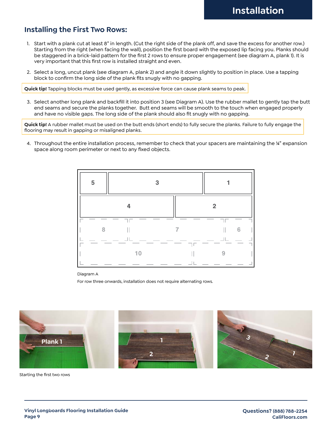# **Installing the First Two Rows:**

- 1. Start with a plank cut at least 8" in length. (Cut the right side of the plank off, and save the excess for another row.) Starting from the right (when facing the wall), position the first board with the exposed lip facing you. Planks should be staggered in a brick-laid pattern for the first 2 rows to ensure proper engagement (see diagram A, plank 1). It is very important that this first row is installed straight and even.
- 2. Select a long, uncut plank (see diagram A, plank 2) and angle it down slightly to position in place. Use a tapping block to confirm the long side of the plank fits snugly with no gapping.

**Quick tip!** Tapping blocks must be used gently, as excessive force can cause plank seams to peak.

3. Select another long plank and backfill it into position 3 (see Diagram A). Use the rubber mallet to gently tap the butt end seams and secure the planks together. Butt end seams will be smooth to the touch when engaged properly and have no visible gaps. The long side of the plank should also fit snugly with no gapping.

**Quick tip!** A rubber mallet must be used on the butt ends (short ends) to fully secure the planks. Failure to fully engage the flooring may result in gapping or misaligned planks.

4. Throughout the entire installation process, remember to check that your spacers are maintaining the ¼" expansion space along room perimeter or next to any fixed objects.



Diagram A

For row three onwards, installation does not require alternating rows.



Starting the first two rows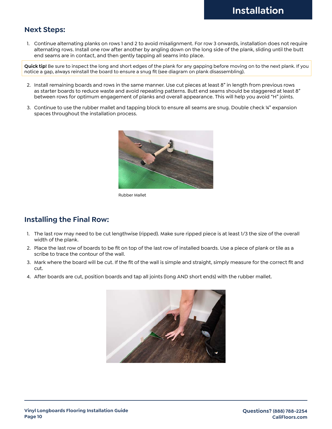## **Next Steps:**

1. Continue alternating planks on rows 1 and 2 to avoid misalignment. For row 3 onwards, installation does not require alternating rows. Install one row after another by angling down on the long side of the plank, sliding until the butt end seams are in contact, and then gently tapping all seams into place.

**Quick tip!** Be sure to inspect the long and short edges of the plank for any gapping before moving on to the next plank. If you notice a gap, always reinstall the board to ensure a snug fit (see diagram on plank disassembling).

- 2. Install remaining boards and rows in the same manner. Use cut pieces at least 8" in length from previous rows as starter boards to reduce waste and avoid repeating patterns. Butt end seams should be staggered at least 8" between rows for optimum engagement of planks and overall appearance. This will help you avoid "H" joints.
- 3. Continue to use the rubber mallet and tapping block to ensure all seams are snug. Double check ¼" expansion spaces throughout the installation process.



Rubber Mallet

# **Installing the Final Row:**

- 1. The last row may need to be cut lengthwise (ripped). Make sure ripped piece is at least 1/3 the size of the overall width of the plank.
- 2. Place the last row of boards to be fit on top of the last row of installed boards. Use a piece of plank or tile as a scribe to trace the contour of the wall.
- 3. Mark where the board will be cut. If the fit of the wall is simple and straight, simply measure for the correct fit and cut.
- 4. After boards are cut, position boards and tap all joints (long AND short ends) with the rubber mallet.

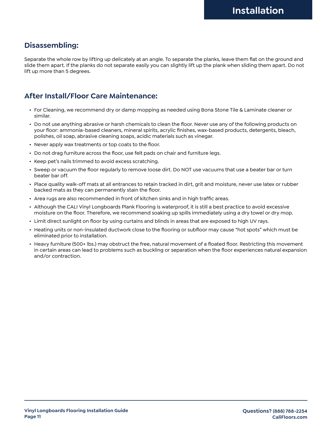# **Disassembling:**

Separate the whole row by lifting up delicately at an angle. To separate the planks, leave them flat on the ground and slide them apart. If the planks do not separate easily you can slightly lift up the plank when sliding them apart. Do not lift up more than 5 degrees.

# **After Install/Floor Care Maintenance:**

- For Cleaning, we recommend dry or damp mopping as needed using Bona Stone Tile & Laminate cleaner or similar.
- Do not use anything abrasive or harsh chemicals to clean the floor. Never use any of the following products on your floor: ammonia-based cleaners, mineral spirits, acrylic finishes, wax-based products, detergents, bleach, polishes, oil soap, abrasive cleaning soaps, acidic materials such as vinegar.
- Never apply wax treatments or top coats to the floor.
- Do not drag furniture across the floor, use felt pads on chair and furniture legs.
- Keep pet's nails trimmed to avoid excess scratching.
- Sweep or vacuum the floor regularly to remove loose dirt. Do NOT use vacuums that use a beater bar or turn beater bar off.
- Place quality walk-off mats at all entrances to retain tracked in dirt, grit and moisture, never use latex or rubber backed mats as they can permanently stain the floor.
- Area rugs are also recommended in front of kitchen sinks and in high traffic areas.
- Although the CALI Vinyl Longboards Plank Flooring is waterproof, it is still a best practice to avoid excessive moisture on the floor. Therefore, we recommend soaking up spills immediately using a dry towel or dry mop.
- Limit direct sunlight on floor by using curtains and blinds in areas that are exposed to high UV rays.
- Heating units or non-insulated ductwork close to the flooring or subfloor may cause "hot spots" which must be eliminated prior to installation.
- Heavy furniture (500+ lbs.) may obstruct the free, natural movement of a floated floor. Restricting this movement in certain areas can lead to problems such as buckling or separation when the floor experiences natural expansion and/or contraction.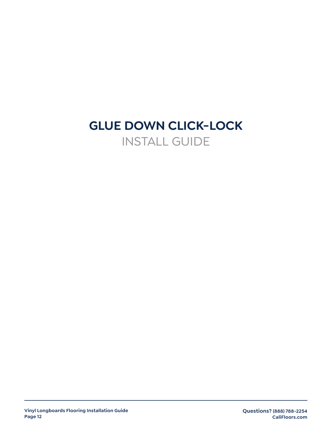# **GLUE DOWN CLICK-LOCK** INSTALL GUIDE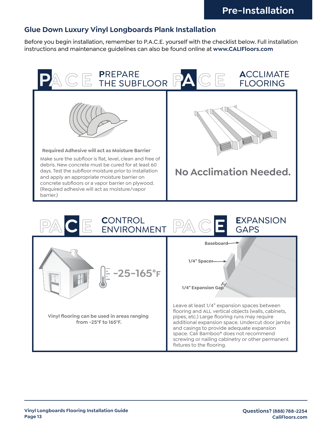### **Glue Down Luxury Vinyl Longboards Plank Installation Glue Down Luxury Vinyl Longboards Plank Installation (Pages 11-16)**

Before you begin installation, remember to P.A.C.E. yourself with the checklist below. Full installation instructions and maintenance guidelines can also be found online at www. CALIFloors.com

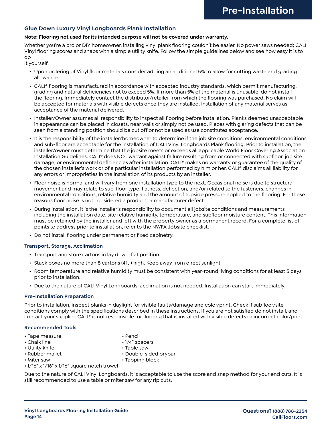### **Glue Down Luxury Vinyl Longboards Plank Installation**

### **Note: Flooring not used for its intended purpose will not be covered under warranty.**

Whether you're a pro or DIY homeowner, installing vinyl plank flooring couldn't be easier. No power saws needed; CALI Vinyl flooring scores and snaps with a simple utility knife. Follow the simple guidelines below and see how easy it is to do

it yourself.

- Upon ordering of Vinyl floor materials consider adding an additional 5% to allow for cutting waste and grading allowance.
- CALI® flooring is manufactured in accordance with accepted industry standards, which permit manufacturing, grading and natural deficiencies not to exceed 5%. If more than 5% of the material is unusable, do not install the flooring. Immediately contact the distributor/retailer from which the flooring was purchased. No claim will be accepted for materials with visible defects once they are installed. Installation of any material serves as acceptance of the material delivered.
- Installer/Owner assumes all responsibility to inspect all flooring before installation. Planks deemed unacceptable in appearance can be placed in closets, near walls or simply not be used. Pieces with glaring defects that can be seen from a standing position should be cut off or not be used as use constitutes acceptance.
- It is the responsibility of the installer/homeowner to determine if the job site conditions, environmental conditions and sub-floor are acceptable for the installation of CALI Vinyl Longboards Plank flooring. Prior to installation, the installer/owner must determine that the jobsite meets or exceeds all applicable World Floor Covering Association Installation Guidelines. CALI® does NOT warrant against failure resulting from or connected with subfloor, job site damage, or environmental deficiencies after installation. CALI® makes no warranty or guarantee of the quality of the chosen installer's work or of a particular installation performed by him or her. CALI® disclaims all liability for any errors or improprieties in the installation of its products by an installer.
- Floor noise is normal and will vary from one installation type to the next. Occasional noise is due to structural movement and may relate to sub-floor type, flatness, deflection, and/or related to the fasteners, changes in environmental conditions, relative humidity and the amount of topside pressure applied to the flooring. For these reasons floor noise is not considered a product or manufacturer defect.
- During installation, it is the installer's responsibility to document all jobsite conditions and measurements including the installation date, site relative humidity, temperature, and subfloor moisture content. This information must be retained by the installer and left with the property owner as a permanent record. For a complete list of points to address prior to installation, refer to the NWFA Jobsite checklist.
- Do not install flooring under permanent or fixed cabinetry.

### **Transport, Storage, Acclimation**

- Transport and store cartons in lay down, flat position.
- Stack boxes no more than 8 cartons (4ft.) high. Keep away from direct sunlight
- Room temperature and relative humidity must be consistent with year-round living conditions for at least 5 days prior to installation.
- Due to the nature of CALI Vinyl Longboards, acclimation is not needed. Installation can start immediately.

### **Pre-Installation Preparation**

Prior to installation, inspect planks in daylight for visible faults/damage and color/print. Check if subfloor/site conditions comply with the specifications described in these instructions. If you are not satisfied do not install, and contact your supplier. CALI® is not responsible for flooring that is installed with visible defects or incorrect color/print.

### **Recommended Tools**

- Tape measure Pencil
- Chalk line 1/4" spacers
- Utility knife  **Table saw**
- 
- 
- 
- 
- 
- Rubber mallet Double-sided prybar
- Miter saw  **Tapping block**
- 1/16" x 1/16" x 1/16" square notch trowel

Due to the nature of CALI Vinyl Longboards, it is acceptable to use the score and snap method for your end cuts. It is still recommended to use a table or miter saw for any rip cuts.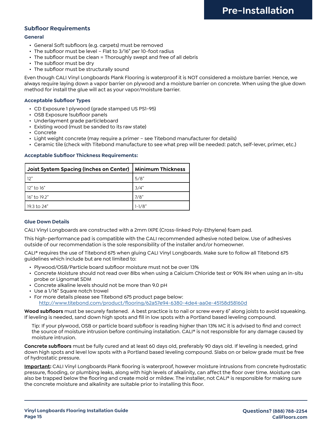### **Subfloor Requirements**

### **General**

- General Soft subfloors (e.g. carpets) must be removed
- The subfloor must be level Flat to 3/16" per 10-foot radius
- The subfloor must be clean = Thoroughly swept and free of all debris
- The subfloor must be dry
- The subfloor must be structurally sound

Even though CALI Vinyl Longboards Plank Flooring is waterproof it is NOT considered a moisture barrier. Hence, we always require laying down a vapor barrier on plywood and a moisture barrier on concrete. When using the glue down method for install the glue will act as your vapor/moisture barrier.

### **Acceptable Subfloor Types**

- CD Exposure 1 plywood (grade stamped US PS1-95)
- OSB Exposure 1subfloor panels
- Underlayment grade particleboard
- Existing wood (must be sanded to its raw state)
- Concrete
- Light weight concrete (may require a primer see Titebond manufacturer for details)
- Ceramic tile (check with Titebond manufacture to see what prep will be needed: patch, self-lever, primer, etc.)

### **Acceptable Subfloor Thickness Requirements:**

| Joist System Spacing (Inches on Center)   Minimum Thickness |        |
|-------------------------------------------------------------|--------|
| 12"                                                         | 5/8"   |
| l 12" to 16"                                                | 3/4"   |
| 16" to 19.2"                                                | 7/8"   |
| ' 19.3 to 24"                                               | 1–1/8" |

### **Glue Down Details**

CALI Vinyl Longboards are constructed with a 2mm IXPE (Cross-linked Poly-Ethylene) foam pad.

This high-performance pad is compatible with the CALI recommended adhesive noted below. Use of adhesives outside of our recommendation is the sole responsibility of the installer and/or homeowner.

CALI® requires the use of Titebond 675 when gluing CALI Vinyl Longboards. Make sure to follow all Titebond 675 guidelines which include but are not limited to:

- Plywood/OSB/Particle board subfloor moisture must not be over 13%
- Concrete Moisture should not read over 8lbs when using a Calcium Chloride test or 90% RH when using an in-situ probe or Lignomat SDM
- Concrete alkaline levels should not be more than 9.0 pH
- Use a 1/16" Square notch trowel
- For more details please see Titebond 675 product page below:

<http://www.titebond.com/product/flooring/62a57e94-6380-4de4-aa0e-45158d58160d>

**Wood subfloors** must be securely fastened. A best practice is to nail or screw every 6" along joists to avoid squeaking. If leveling is needed, sand down high spots and fill in low spots with a Portland based leveling compound.

Tip: If your plywood, OSB or particle board subfloor is reading higher than 13% MC it is advised to find and correct the source of moisture intrusion before continuing installation. CALI® is not responsible for any damage caused by moisture intrusion.

**Concrete subfloors** must be fully cured and at least 60 days old, preferably 90 days old. If leveling is needed, grind down high spots and level low spots with a Portland based leveling compound. Slabs on or below grade must be free of hydrostatic pressure.

**Important:** CALI Vinyl Longboards Plank flooring is waterproof, however moisture intrusions from concrete hydrostatic pressure, flooding, or plumbing leaks, along with high levels of alkalinity, can affect the floor over time. Moisture can also be trapped below the flooring and create mold or mildew. The installer, not CALI® is responsible for making sure the concrete moisture and alkalinity are suitable prior to installing this floor.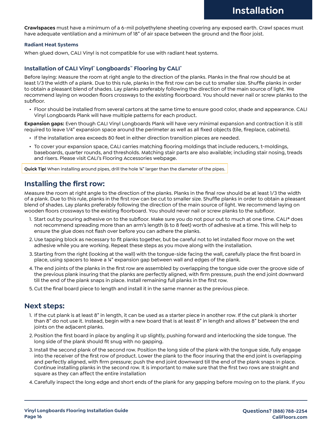**Crawlspaces** must have a minimum of a 6-mil polyethylene sheeting covering any exposed earth. Crawl spaces must have adequate ventilation and a minimum of 18" of air space between the ground and the floor joist.

### **Radiant Heat Systems**

When glued down, CALI Vinyl is not compatible for use with radiant heat systems.

### **Installation of CALI Vinyl**® **Longboards**™ **Flooring by CALI®**

Before laying: Measure the room at right angle to the direction of the planks. Planks in the final row should be at least 1/3 the width of a plank. Due to this rule, planks in the first row can be cut to smaller size. Shuffle planks in order to obtain a pleasant blend of shades. Lay planks preferably following the direction of the main source of light. We recommend laying on wooden floors crossways to the existing floorboard. You should never nail or screw planks to the subfloor.

• Floor should be installed from several cartons at the same time to ensure good color, shade and appearance. CALI Vinyl Longboards Plank will have multiple patterns for each product.

**Expansion gaps:** Even though CALI Vinyl Longboards Plank will have very minimal expansion and contraction it is still required to leave 1/4" expansion space around the perimeter as well as all fixed objects (tile, fireplace, cabinets).

- If the installation area exceeds 80 feet in either direction transition pieces are needed.
- To cover your expansion space, CALI carries matching flooring moldings that include reducers, t-moldings, baseboards, quarter rounds, and thresholds. Matching stair parts are also available; including stair nosing, treads and risers. Please visit CALI's Flooring Accessories webpage.

**Quick Tip!** When installing around pipes, drill the hole ¾" larger than the diameter of the pipes.

### **Installing the first row:**

Measure the room at right angle to the direction of the planks. Planks in the final row should be at least 1/3 the width of a plank. Due to this rule, planks in the first row can be cut to smaller size. Shuffle planks in order to obtain a pleasant blend of shades. Lay planks preferably following the direction of the main source of light. We recommend laying on wooden floors crossways to the existing floorboard. You should never nail or screw planks to the subfloor.

- 1. Start out by pouring adhesive on to the subfloor. Make sure you do not pour out to much at one time. CALI® does not recommend spreading more than an arm's length (6 to 8 feet) worth of adhesive at a time. This will help to ensure the glue does not flash over before you can adhere the planks.
- 2. Use tapping block as necessary to fit planks together, but be careful not to let installed floor move on the wet adhesive while you are working. Repeat these steps as you move along with the installation.
- 3. Starting from the right (looking at the wall) with the tongue-side facing the wall, carefully place the first board in place, using spacers to leave a ¼" expansion gap between wall and edges of the plank.
- 4. The end joints of the planks in the first row are assembled by overlapping the tongue side over the groove side of the previous plank insuring that the planks are perfectly aligned, with firm pressure, push the end joint downward till the end of the plank snaps in place. Install remaining full planks in the first row.
- 5.Cut the final board piece to length and install it in the same manner as the previous piece.

### **Next steps:**

- 1. If the cut plank is at least 8" in length, it can be used as a starter piece in another row. If the cut plank is shorter than 8" do not use it. Instead, begin with a new board that is at least 8" in length and allows 8" between the end joints on the adjacent planks.
- 2. Position the first board in place by angling it up slightly, pushing forward and interlocking the side tongue. The long side of the plank should fit snug with no gapping.
- 3. Install the second plank of the second row. Position the long side of the plank with the tongue side, fully engage into the receiver of the first row of product. Lower the plank to the floor insuring that the end joint is overlapping and perfectly aligned, with firm pressure; push the end joint downward till the end of the plank snaps in place. Continue installing planks in the second row. It is important to make sure that the first two rows are straight and square as they can affect the entire installation
- 4.Carefully inspect the long edge and short ends of the plank for any gapping before moving on to the plank. If you